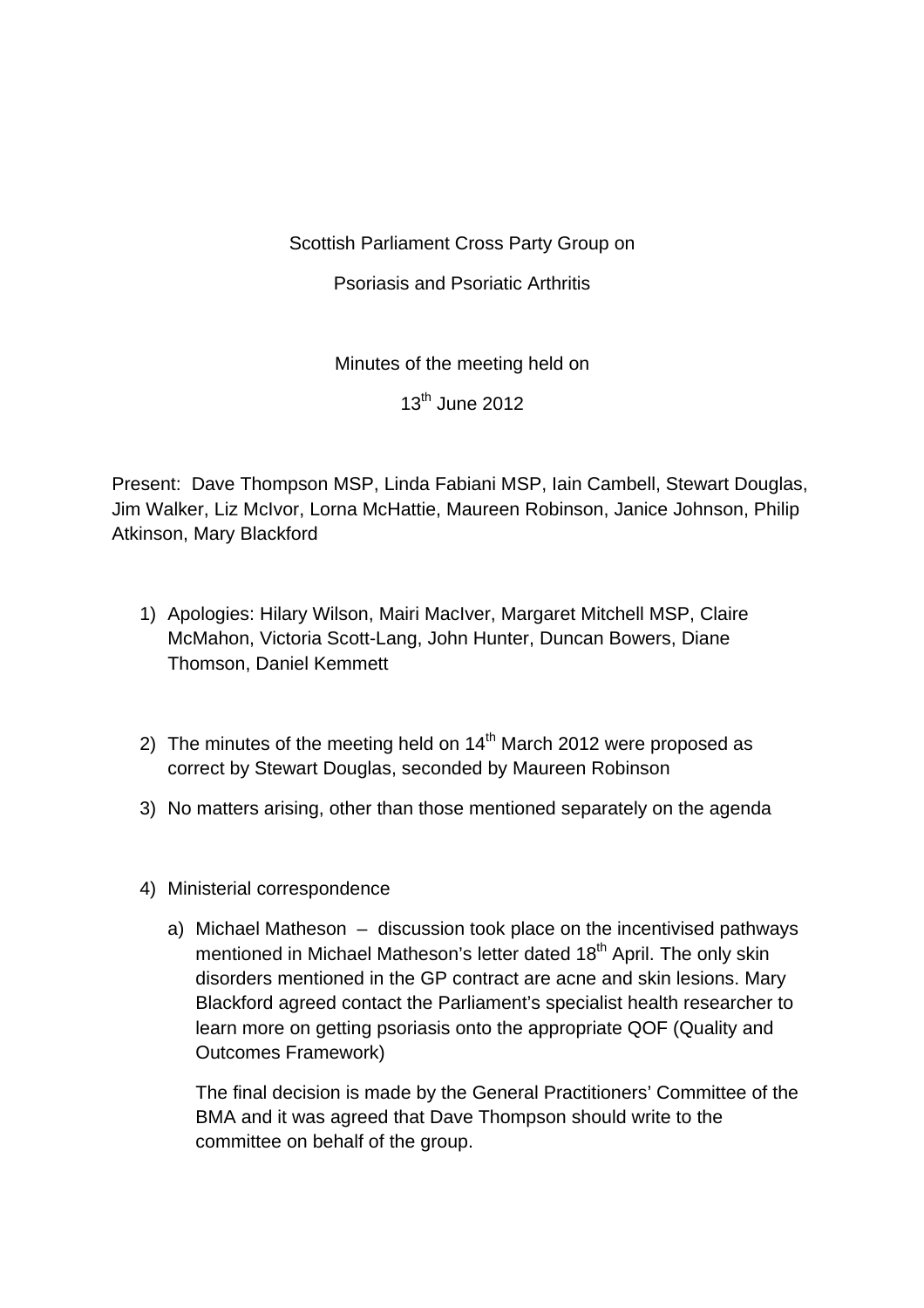Scottish Parliament Cross Party Group on

Psoriasis and Psoriatic Arthritis

Minutes of the meeting held on

13<sup>th</sup> June 2012

Present: Dave Thompson MSP, Linda Fabiani MSP, Iain Cambell, Stewart Douglas, Jim Walker, Liz McIvor, Lorna McHattie, Maureen Robinson, Janice Johnson, Philip Atkinson, Mary Blackford

- 1) Apologies: Hilary Wilson, Mairi MacIver, Margaret Mitchell MSP, Claire McMahon, Victoria Scott-Lang, John Hunter, Duncan Bowers, Diane Thomson, Daniel Kemmett
- 2) The minutes of the meeting held on  $14<sup>th</sup>$  March 2012 were proposed as correct by Stewart Douglas, seconded by Maureen Robinson
- 3) No matters arising, other than those mentioned separately on the agenda
- 4) Ministerial correspondence
	- a) Michael Matheson discussion took place on the incentivised pathways mentioned in Michael Matheson's letter dated 18<sup>th</sup> April. The only skin disorders mentioned in the GP contract are acne and skin lesions. Mary Blackford agreed contact the Parliament's specialist health researcher to learn more on getting psoriasis onto the appropriate QOF (Quality and Outcomes Framework)

The final decision is made by the General Practitioners' Committee of the BMA and it was agreed that Dave Thompson should write to the committee on behalf of the group.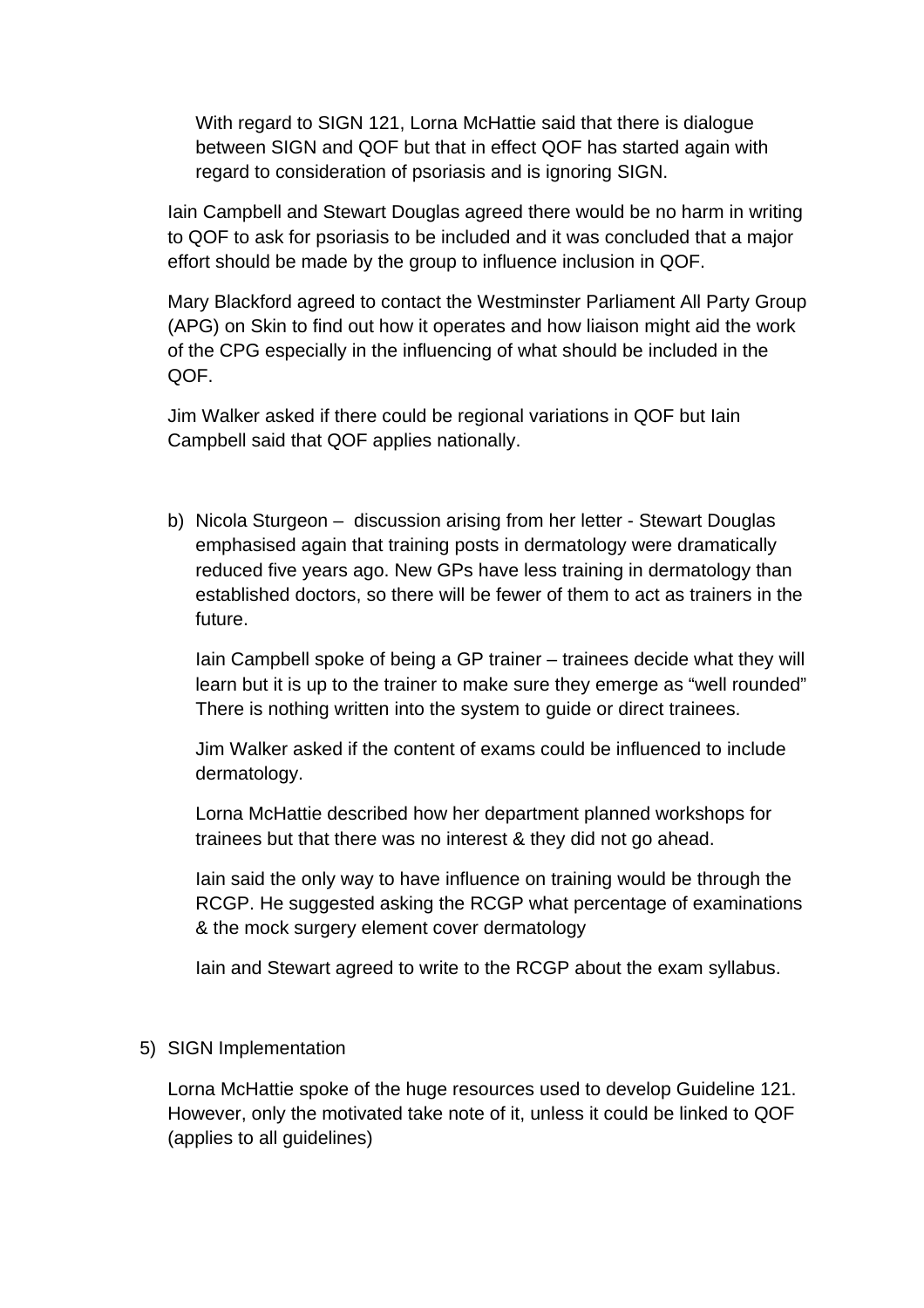With regard to SIGN 121, Lorna McHattie said that there is dialogue between SIGN and QOF but that in effect QOF has started again with regard to consideration of psoriasis and is ignoring SIGN.

Iain Campbell and Stewart Douglas agreed there would be no harm in writing to QOF to ask for psoriasis to be included and it was concluded that a major effort should be made by the group to influence inclusion in QOF.

Mary Blackford agreed to contact the Westminster Parliament All Party Group (APG) on Skin to find out how it operates and how liaison might aid the work of the CPG especially in the influencing of what should be included in the QOF.

Jim Walker asked if there could be regional variations in QOF but Iain Campbell said that QOF applies nationally.

b) Nicola Sturgeon – discussion arising from her letter - Stewart Douglas emphasised again that training posts in dermatology were dramatically reduced five years ago. New GPs have less training in dermatology than established doctors, so there will be fewer of them to act as trainers in the future.

Iain Campbell spoke of being a GP trainer – trainees decide what they will learn but it is up to the trainer to make sure they emerge as "well rounded" There is nothing written into the system to guide or direct trainees.

Jim Walker asked if the content of exams could be influenced to include dermatology.

Lorna McHattie described how her department planned workshops for trainees but that there was no interest & they did not go ahead.

Iain said the only way to have influence on training would be through the RCGP. He suggested asking the RCGP what percentage of examinations & the mock surgery element cover dermatology

Iain and Stewart agreed to write to the RCGP about the exam syllabus.

## 5) SIGN Implementation

Lorna McHattie spoke of the huge resources used to develop Guideline 121. However, only the motivated take note of it, unless it could be linked to QOF (applies to all guidelines)